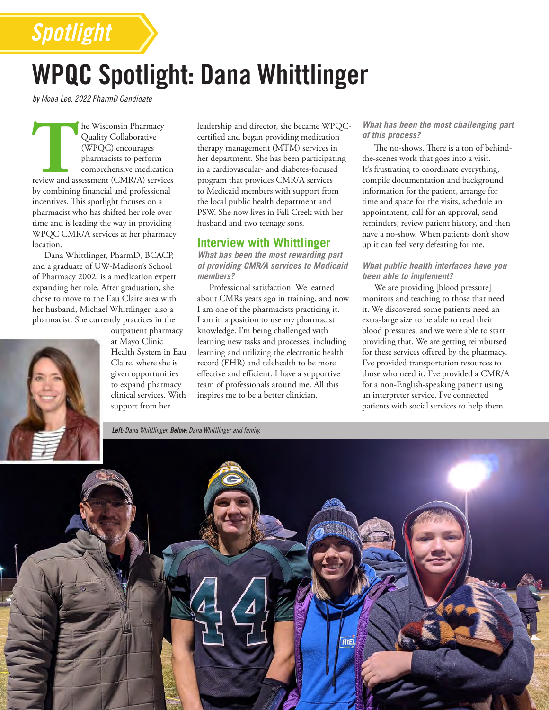# WPQC Spotlight: Dana Whittlinger

*by Moua Lee, 2022 PharmD Candidate*

*Spotlight*

**THE TENN SECTES CONSIDER SERVICE CONSIDER**<br>
THE TENN COLLECTED PRIMAGES CONSIDER THE CONTROLLER SURVEY CONSIDER SERVICES<br>
FRAMEWORK AND SERVICES<br>
THE CONTROLLER SERVICES<br>
THE REVIEW AND SERVICES<br>
THE REVIEW OF SERVICE SER Quality Collaborative (WPQC) encourages pharmacists to perform comprehensive medication by combining financial and professional incentives. This spotlight focuses on a pharmacist who has shifted her role over time and is leading the way in providing WPQC CMR/A services at her pharmacy location.

Dana Whittlinger, PharmD, BCACP, and a graduate of UW-Madison's School of Pharmacy 2002, is a medication expert expanding her role. After graduation, she chose to move to the Eau Claire area with her husband, Michael Whittlinger, also a pharmacist. She currently practices in the

> outpatient pharmacy at Mayo Clinic Health System in Eau Claire, where she is given opportunities to expand pharmacy clinical services. With support from her

leadership and director, she became WPQCcertified and began providing medication therapy management (MTM) services in her department. She has been participating in a cardiovascular- and diabetes-focused program that provides CMR/A services to Medicaid members with support from the local public health department and PSW. She now lives in Fall Creek with her husband and two teenage sons.

### **Interview with Whittlinger**

*What has been the most rewarding part of providing CMR/A services to Medicaid members?*

Professional satisfaction. We learned about CMRs years ago in training, and now I am one of the pharmacists practicing it. I am in a position to use my pharmacist knowledge. I'm being challenged with learning new tasks and processes, including learning and utilizing the electronic health record (EHR) and telehealth to be more effective and efficient. I have a supportive team of professionals around me. All this inspires me to be a better clinician.

#### *What has been the most challenging part of this process?*

The no-shows. There is a ton of behindthe-scenes work that goes into a visit. It's frustrating to coordinate everything, compile documentation and background information for the patient, arrange for time and space for the visits, schedule an appointment, call for an approval, send reminders, review patient history, and then have a no-show. When patients don't show up it can feel very defeating for me.

#### *What public health interfaces have you been able to implement?*

We are providing [blood pressure] monitors and teaching to those that need it. We discovered some patients need an extra-large size to be able to read their blood pressures, and we were able to start providing that. We are getting reimbursed for these services offered by the pharmacy. I've provided transportation resources to those who need it. I've provided a CMR/A for a non-English-speaking patient using an interpreter service. I've connected patients with social services to help them

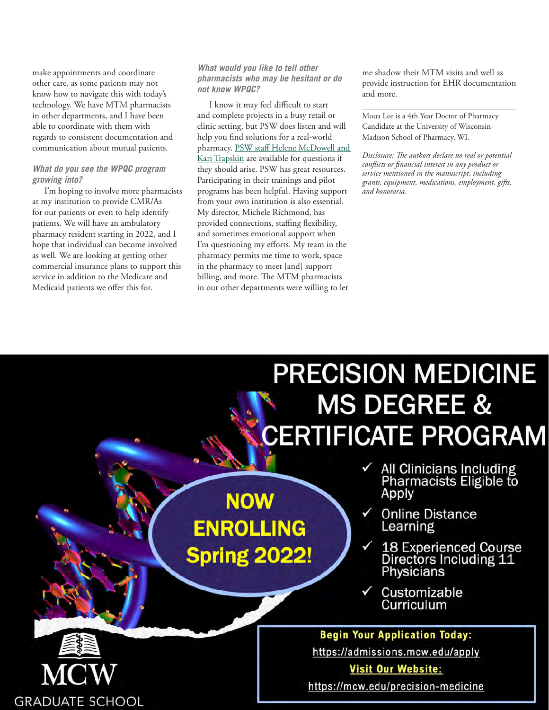make appointments and coordinate other care, as some patients may not know how to navigate this with today's technology. We have MTM pharmacists in other departments, and I have been able to coordinate with them with regards to consistent documentation and communication about mutual patients.

#### *What do you see the WPQC program growing into?*

I'm hoping to involve more pharmacists at my institution to provide CMR/As for our patients or even to help identify patients. We will have an ambulatory pharmacy resident starting in 2022, and I hope that individual can become involved as well. We are looking at getting other commercial insurance plans to support this service in addition to the Medicare and Medicaid patients we offer this for.

**54 The Journal** November/December 2021 *www.pswi.org*

#### *What would you like to tell other pharmacists who may be hesitant or do not know WPQC?*

I know it may feel difficult to start and complete projects in a busy retail or clinic setting, but PSW does listen and will help you find solutions for a real-world pharmacy. PSW staff Helene McDowell and [Kari Trapskin](https://www.pswi.org/Membership/Directories/PSW-Staff-Directory) are available for questions if they should arise. PSW has great resources. Participating in their trainings and pilot programs has been helpful. Having support from your own institution is also essential. My director, Michele Richmond, has provided connections, staffing flexibility, and sometimes emotional support when I'm questioning my efforts. My team in the pharmacy permits me time to work, space in the pharmacy to meet [and] support billing, and more. The MTM pharmacists in our other departments were willing to let

me shadow their MTM visits and well as provide instruction for EHR documentation and more.

Moua Lee is a 4th Year Doctor of Pharmacy Candidate at the University of Wisconsin-Madison School of Pharmacy, WI.

*Disclosure: The authors declare no real or potential conflicts or financial interest in any product or service mentioned in the manuscript, including grants, equipment, medications, employment, gifts, and honoraria.* 

# **PRECISION MEDICINE MS DEGREE & CERTIFICATE PROGRAM**

# **NOW ENROLLING Spring 2022!**

- All Clinicians Including<br>Pharmacists Eligible to Apply
- **Online Distance** Learning
- 18 Experienced Course<br>Directors Including 11<br>Physicians
- Customizable Curriculum

# **Begin Your Application Today:**

https://admissions.mcw.edu/apply

# **Visit Our Website:**

https://mcw.edu/precision-medicine